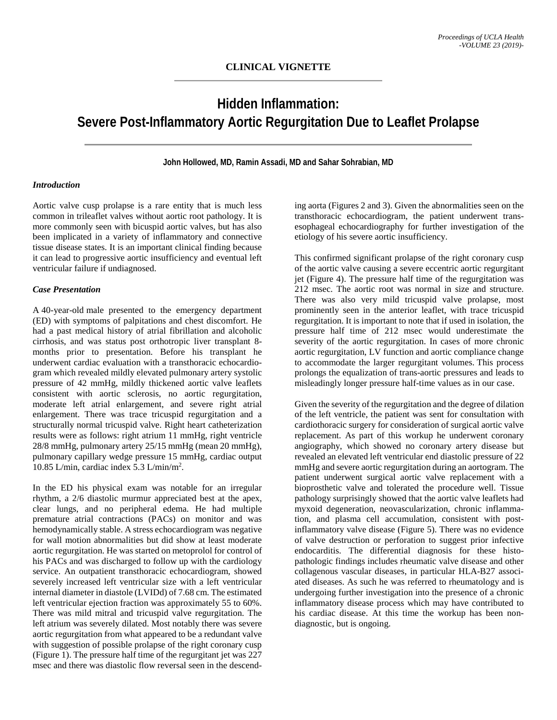# **Hidden Inflammation: Severe Post-Inflammatory Aortic Regurgitation Due to Leaflet Prolapse**

### **John Hollowed, MD, Ramin Assadi, MD and Sahar Sohrabian, MD**

## *Introduction*

Aortic valve cusp prolapse is a rare entity that is much less common in trileaflet valves without aortic root pathology. It is more commonly seen with bicuspid aortic valves, but has also been implicated in a variety of inflammatory and connective tissue disease states. It is an important clinical finding because it can lead to progressive aortic insufficiency and eventual left ventricular failure if undiagnosed.

#### *Case Presentation*

A 40-year-old male presented to the emergency department (ED) with symptoms of palpitations and chest discomfort. He had a past medical history of atrial fibrillation and alcoholic cirrhosis, and was status post orthotropic liver transplant 8 months prior to presentation. Before his transplant he underwent cardiac evaluation with a transthoracic echocardiogram which revealed mildly elevated pulmonary artery systolic pressure of 42 mmHg, mildly thickened aortic valve leaflets consistent with aortic sclerosis, no aortic regurgitation, moderate left atrial enlargement, and severe right atrial enlargement. There was trace tricuspid regurgitation and a structurally normal tricuspid valve. Right heart catheterization results were as follows: right atrium 11 mmHg, right ventricle 28/8 mmHg, pulmonary artery 25/15 mmHg (mean 20 mmHg), pulmonary capillary wedge pressure 15 mmHg, cardiac output 10.85 L/min, cardiac index 5.3 L/min/m2 .

In the ED his physical exam was notable for an irregular rhythm, a 2/6 diastolic murmur appreciated best at the apex, clear lungs, and no peripheral edema. He had multiple premature atrial contractions (PACs) on monitor and was hemodynamically stable. A stress echocardiogram was negative for wall motion abnormalities but did show at least moderate aortic regurgitation. He was started on metoprolol for control of his PACs and was discharged to follow up with the cardiology service. An outpatient transthoracic echocardiogram, showed severely increased left ventricular size with a left ventricular internal diameter in diastole (LVIDd) of 7.68 cm. The estimated left ventricular ejection fraction was approximately 55 to 60%. There was mild mitral and tricuspid valve regurgitation. The left atrium was severely dilated. Most notably there was severe aortic regurgitation from what appeared to be a redundant valve with suggestion of possible prolapse of the right coronary cusp (Figure 1). The pressure half time of the regurgitant jet was 227 msec and there was diastolic flow reversal seen in the descending aorta (Figures 2 and 3). Given the abnormalities seen on the transthoracic echocardiogram, the patient underwent transesophageal echocardiography for further investigation of the etiology of his severe aortic insufficiency.

This confirmed significant prolapse of the right coronary cusp of the aortic valve causing a severe eccentric aortic regurgitant jet (Figure 4). The pressure half time of the regurgitation was 212 msec. The aortic root was normal in size and structure. There was also very mild tricuspid valve prolapse, most prominently seen in the anterior leaflet, with trace tricuspid regurgitation. It is important to note that if used in isolation, the pressure half time of 212 msec would underestimate the severity of the aortic regurgitation. In cases of more chronic aortic regurgitation, LV function and aortic compliance change to accommodate the larger regurgitant volumes. This process prolongs the equalization of trans-aortic pressures and leads to misleadingly longer pressure half-time values as in our case.

Given the severity of the regurgitation and the degree of dilation of the left ventricle, the patient was sent for consultation with cardiothoracic surgery for consideration of surgical aortic valve replacement. As part of this workup he underwent coronary angiography, which showed no coronary artery disease but revealed an elevated left ventricular end diastolic pressure of 22 mmHg and severe aortic regurgitation during an aortogram. The patient underwent surgical aortic valve replacement with a bioprosthetic valve and tolerated the procedure well. Tissue pathology surprisingly showed that the aortic valve leaflets had myxoid degeneration, neovascularization, chronic inflammation, and plasma cell accumulation, consistent with postinflammatory valve disease (Figure 5). There was no evidence of valve destruction or perforation to suggest prior infective endocarditis. The differential diagnosis for these histopathologic findings includes rheumatic valve disease and other collagenous vascular diseases, in particular HLA-B27 associated diseases. As such he was referred to rheumatology and is undergoing further investigation into the presence of a chronic inflammatory disease process which may have contributed to his cardiac disease. At this time the workup has been nondiagnostic, but is ongoing.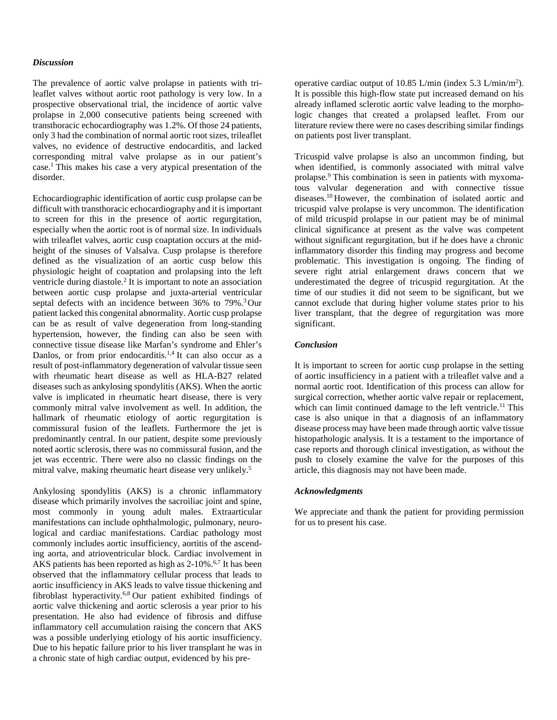#### *Discussion*

The prevalence of aortic valve prolapse in patients with trileaflet valves without aortic root pathology is very low. In a prospective observational trial, the incidence of aortic valve prolapse in 2,000 consecutive patients being screened with transthoracic echocardiography was 1.2%. Of those 24 patients, only 3 had the combination of normal aortic root sizes, trileaflet valves, no evidence of destructive endocarditis, and lacked corresponding mitral valve prolapse as in our patient's case. <sup>1</sup> This makes his case a very atypical presentation of the disorder.

Echocardiographic identification of aortic cusp prolapse can be difficult with transthoracic echocardiography and it is important to screen for this in the presence of aortic regurgitation, especially when the aortic root is of normal size. In individuals with trileaflet valves, aortic cusp coaptation occurs at the midheight of the sinuses of Valsalva. Cusp prolapse is therefore defined as the visualization of an aortic cusp below this physiologic height of coaptation and prolapsing into the left ventricle during diastole.2 It is important to note an association between aortic cusp prolapse and juxta-arterial ventricular septal defects with an incidence between 36% to 79%.<sup>3</sup> Our patient lacked this congenital abnormality. Aortic cusp prolapse can be as result of valve degeneration from long-standing hypertension, however, the finding can also be seen with connective tissue disease like Marfan's syndrome and Ehler's Danlos, or from prior endocarditis.<sup>1,4</sup> It can also occur as a result of post-inflammatory degeneration of valvular tissue seen with rheumatic heart disease as well as HLA-B27 related diseases such as ankylosing spondylitis (AKS). When the aortic valve is implicated in rheumatic heart disease, there is very commonly mitral valve involvement as well. In addition, the hallmark of rheumatic etiology of aortic regurgitation is commissural fusion of the leaflets. Furthermore the jet is predominantly central. In our patient, despite some previously noted aortic sclerosis, there was no commissural fusion, and the jet was eccentric. There were also no classic findings on the mitral valve, making rheumatic heart disease very unlikely.5

Ankylosing spondylitis (AKS) is a chronic inflammatory disease which primarily involves the sacroiliac joint and spine, most commonly in young adult males. Extraarticular manifestations can include ophthalmologic, pulmonary, neurological and cardiac manifestations. Cardiac pathology most commonly includes aortic insufficiency, aortitis of the ascending aorta, and atrioventricular block. Cardiac involvement in AKS patients has been reported as high as 2-10%.<sup>6,7</sup> It has been observed that the inflammatory cellular process that leads to aortic insufficiency in AKS leads to valve tissue thickening and fibroblast hyperactivity.6,8 Our patient exhibited findings of aortic valve thickening and aortic sclerosis a year prior to his presentation. He also had evidence of fibrosis and diffuse inflammatory cell accumulation raising the concern that AKS was a possible underlying etiology of his aortic insufficiency. Due to his hepatic failure prior to his liver transplant he was in a chronic state of high cardiac output, evidenced by his preoperative cardiac output of 10.85 L/min (index 5.3 L/min/m2 ). It is possible this high-flow state put increased demand on his already inflamed sclerotic aortic valve leading to the morphologic changes that created a prolapsed leaflet. From our literature review there were no cases describing similar findings on patients post liver transplant.

Tricuspid valve prolapse is also an uncommon finding, but when identified, is commonly associated with mitral valve prolapse.9 This combination is seen in patients with myxomatous valvular degeneration and with connective tissue diseases.10 However, the combination of isolated aortic and tricuspid valve prolapse is very uncommon. The identification of mild tricuspid prolapse in our patient may be of minimal clinical significance at present as the valve was competent without significant regurgitation, but if he does have a chronic inflammatory disorder this finding may progress and become problematic. This investigation is ongoing. The finding of severe right atrial enlargement draws concern that we underestimated the degree of tricuspid regurgitation. At the time of our studies it did not seem to be significant, but we cannot exclude that during higher volume states prior to his liver transplant, that the degree of regurgitation was more significant.

#### *Conclusion*

It is important to screen for aortic cusp prolapse in the setting of aortic insufficiency in a patient with a trileaflet valve and a normal aortic root. Identification of this process can allow for surgical correction, whether aortic valve repair or replacement, which can limit continued damage to the left ventricle.<sup>11</sup> This case is also unique in that a diagnosis of an inflammatory disease process may have been made through aortic valve tissue histopathologic analysis. It is a testament to the importance of case reports and thorough clinical investigation, as without the push to closely examine the valve for the purposes of this article, this diagnosis may not have been made.

#### *Acknowledgments*

We appreciate and thank the patient for providing permission for us to present his case.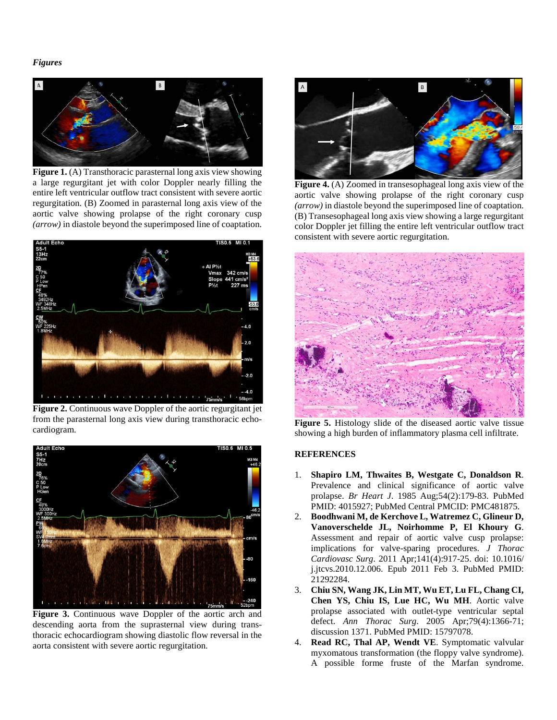## *Figures*



**Figure 1.** (A) Transthoracic parasternal long axis view showing a large regurgitant jet with color Doppler nearly filling the entire left ventricular outflow tract consistent with severe aortic regurgitation. (B) Zoomed in parasternal long axis view of the aortic valve showing prolapse of the right coronary cusp *(arrow)* in diastole beyond the superimposed line of coaptation.



**Figure 2.** Continuous wave Doppler of the aortic regurgitant jet from the parasternal long axis view during transthoracic echocardiogram.



**Figure 3.** Continuous wave Doppler of the aortic arch and descending aorta from the suprasternal view during transthoracic echocardiogram showing diastolic flow reversal in the aorta consistent with severe aortic regurgitation.



**Figure 4.** (A) Zoomed in transesophageal long axis view of the aortic valve showing prolapse of the right coronary cusp *(arrow)* in diastole beyond the superimposed line of coaptation. (B) Transesophageal long axis view showing a large regurgitant color Doppler jet filling the entire left ventricular outflow tract consistent with severe aortic regurgitation.



**Figure 5.** Histology slide of the diseased aortic valve tissue showing a high burden of inflammatory plasma cell infiltrate.

## **REFERENCES**

- 1. **Shapiro LM, Thwaites B, Westgate C, Donaldson R**. Prevalence and clinical significance of aortic valve prolapse. *Br Heart J*. 1985 Aug;54(2):179-83. PubMed PMID: 4015927; PubMed Central PMCID: PMC481875.
- 2. **Boodhwani M, de Kerchove L, Watremez C, Glineur D, Vanoverschelde JL, Noirhomme P, El Khoury G**. Assessment and repair of aortic valve cusp prolapse: implications for valve-sparing procedures. *J Thorac Cardiovasc Surg*. 2011 Apr;141(4):917-25. doi: 10.1016/ j.jtcvs.2010.12.006. Epub 2011 Feb 3. PubMed PMID: 21292284.
- 3. **Chiu SN, Wang JK, Lin MT, Wu ET, Lu FL, Chang CI, Chen YS, Chiu IS, Lue HC, Wu MH**. Aortic valve prolapse associated with outlet-type ventricular septal defect. *Ann Thorac Surg*. 2005 Apr;79(4):1366-71; discussion 1371. PubMed PMID: 15797078.
- 4. **Read RC, Thal AP, Wendt VE**. Symptomatic valvular myxomatous transformation (the floppy valve syndrome). A possible forme fruste of the Marfan syndrome.